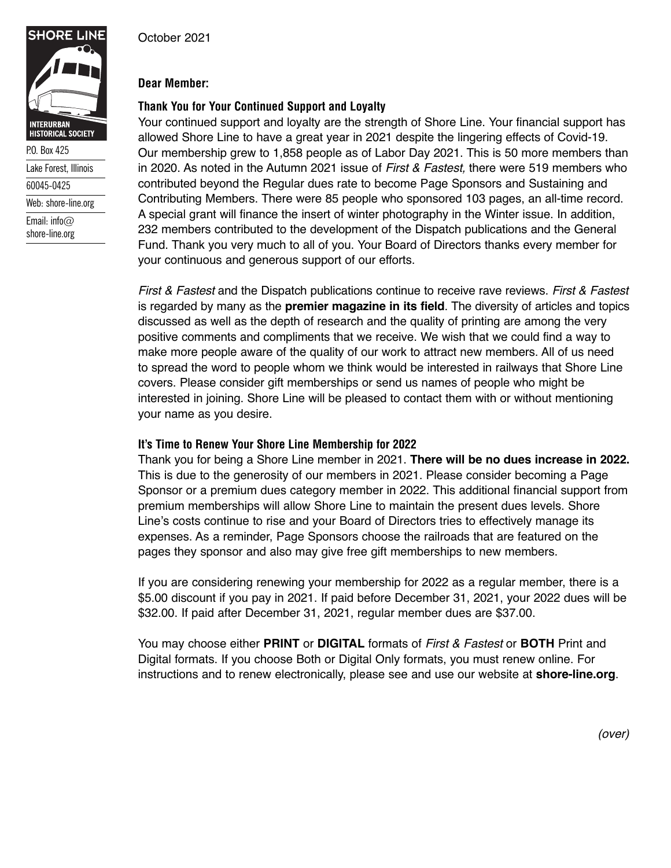## **Dear Member:**

# **Thank You for Your Continued Support and Loyalty**

Your continued support and loyalty are the strength of Shore Line. Your financial support has allowed Shore Line to have a great year in 2021 despite the lingering effects of Covid-19. Our membership grew to 1,858 people as of Labor Day 2021. This is 50 more members than in 2020. As noted in the Autumn 2021 issue of *First & Fastest,* there were 519 members who contributed beyond the Regular dues rate to become Page Sponsors and Sustaining and Contributing Members. There were 85 people who sponsored 103 pages, an all-time record. A special grant will finance the insert of winter photography in the Winter issue. In addition, 232 members contributed to the development of the Dispatch publications and the General Fund. Thank you very much to all of you. Your Board of Directors thanks every member for your continuous and generous support of our efforts.

*First & Fastest* and the Dispatch publications continue to receive rave reviews. *First & Fastest* is regarded by many as the **premier magazine in its field**. The diversity of articles and topics discussed as well as the depth of research and the quality of printing are among the very positive comments and compliments that we receive. We wish that we could find a way to make more people aware of the quality of our work to attract new members. All of us need to spread the word to people whom we think would be interested in railways that Shore Line covers. Please consider gift memberships or send us names of people who might be interested in joining. Shore Line will be pleased to contact them with or without mentioning your name as you desire.

## **It's Time to Renew Your Shore Line Membership for 2022**

Thank you for being a Shore Line member in 2021. **There will be no dues increase in 2022.** This is due to the generosity of our members in 2021. Please consider becoming a Page Sponsor or a premium dues category member in 2022. This additional financial support from premium memberships will allow Shore Line to maintain the present dues levels. Shore Line's costs continue to rise and your Board of Directors tries to effectively manage its expenses. As a reminder, Page Sponsors choose the railroads that are featured on the pages they sponsor and also may give free gift memberships to new members.

If you are considering renewing your membership for 2022 as a regular member, there is a \$5.00 discount if you pay in 2021. If paid before December 31, 2021, your 2022 dues will be \$32.00. If paid after December 31, 2021, regular member dues are \$37.00.

You may choose either **PRINT** or **DIGITAL** formats of *First & Fastest* or **BOTH** Print and Digital formats. If you choose Both or Digital Only formats, you must renew online. For instructions and to renew electronically, please see and use our website at **shore-line.org**.

*(over)*



Email: info $@$ shore-line.org

Web: shore-line.org